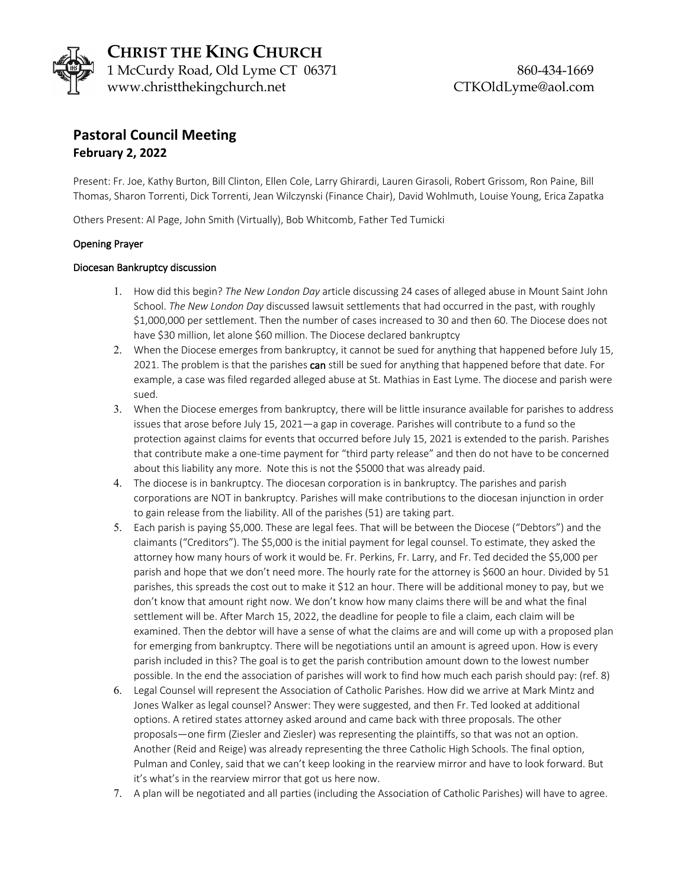

# **Pastoral Council Meeting February 2, 2022**

Present: Fr. Joe, Kathy Burton, Bill Clinton, Ellen Cole, Larry Ghirardi, Lauren Girasoli, Robert Grissom, Ron Paine, Bill Thomas, Sharon Torrenti, Dick Torrenti, Jean Wilczynski (Finance Chair), David Wohlmuth, Louise Young, Erica Zapatka

Others Present: Al Page, John Smith (Virtually), Bob Whitcomb, Father Ted Tumicki

# Opening Prayer

### Diocesan Bankruptcy discussion

- 1. How did this begin? *The New London Day* article discussing 24 cases of alleged abuse in Mount Saint John School. *The New London Day* discussed lawsuit settlements that had occurred in the past, with roughly \$1,000,000 per settlement. Then the number of cases increased to 30 and then 60. The Diocese does not have \$30 million, let alone \$60 million. The Diocese declared bankruptcy
- 2. When the Diocese emerges from bankruptcy, it cannot be sued for anything that happened before July 15, 2021. The problem is that the parishes can still be sued for anything that happened before that date. For example, a case was filed regarded alleged abuse at St. Mathias in East Lyme. The diocese and parish were sued.
- 3. When the Diocese emerges from bankruptcy, there will be little insurance available for parishes to address issues that arose before July 15, 2021—a gap in coverage. Parishes will contribute to a fund so the protection against claims for events that occurred before July 15, 2021 is extended to the parish. Parishes that contribute make a one-time payment for "third party release" and then do not have to be concerned about this liability any more. Note this is not the \$5000 that was already paid.
- 4. The diocese is in bankruptcy. The diocesan corporation is in bankruptcy. The parishes and parish corporations are NOT in bankruptcy. Parishes will make contributions to the diocesan injunction in order to gain release from the liability. All of the parishes (51) are taking part.
- 5. Each parish is paying \$5,000. These are legal fees. That will be between the Diocese ("Debtors") and the claimants ("Creditors"). The \$5,000 is the initial payment for legal counsel. To estimate, they asked the attorney how many hours of work it would be. Fr. Perkins, Fr. Larry, and Fr. Ted decided the \$5,000 per parish and hope that we don't need more. The hourly rate for the attorney is \$600 an hour. Divided by 51 parishes, this spreads the cost out to make it \$12 an hour. There will be additional money to pay, but we don't know that amount right now. We don't know how many claims there will be and what the final settlement will be. After March 15, 2022, the deadline for people to file a claim, each claim will be examined. Then the debtor will have a sense of what the claims are and will come up with a proposed plan for emerging from bankruptcy. There will be negotiations until an amount is agreed upon. How is every parish included in this? The goal is to get the parish contribution amount down to the lowest number possible. In the end the association of parishes will work to find how much each parish should pay: (ref. 8)
- 6. Legal Counsel will represent the Association of Catholic Parishes. How did we arrive at Mark Mintz and Jones Walker as legal counsel? Answer: They were suggested, and then Fr. Ted looked at additional options. A retired states attorney asked around and came back with three proposals. The other proposals—one firm (Ziesler and Ziesler) was representing the plaintiffs, so that was not an option. Another (Reid and Reige) was already representing the three Catholic High Schools. The final option, Pulman and Conley, said that we can't keep looking in the rearview mirror and have to look forward. But it's what's in the rearview mirror that got us here now.
- 7. A plan will be negotiated and all parties (including the Association of Catholic Parishes) will have to agree.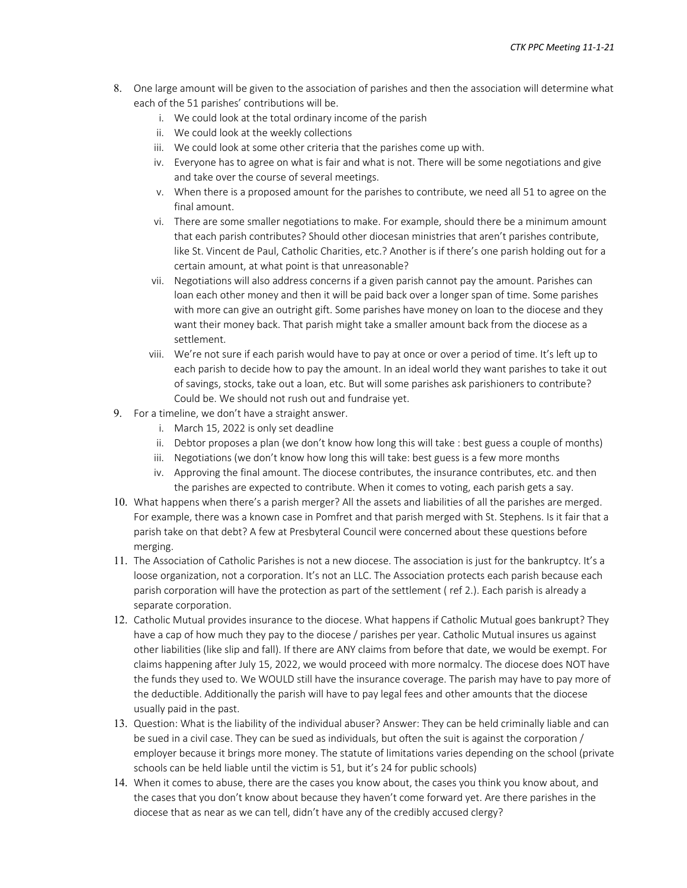- 8. One large amount will be given to the association of parishes and then the association will determine what each of the 51 parishes' contributions will be.
	- i. We could look at the total ordinary income of the parish
	- ii. We could look at the weekly collections
	- iii. We could look at some other criteria that the parishes come up with.
	- iv. Everyone has to agree on what is fair and what is not. There will be some negotiations and give and take over the course of several meetings.
	- v. When there is a proposed amount for the parishes to contribute, we need all 51 to agree on the final amount.
	- vi. There are some smaller negotiations to make. For example, should there be a minimum amount that each parish contributes? Should other diocesan ministries that aren't parishes contribute, like St. Vincent de Paul, Catholic Charities, etc.? Another is if there's one parish holding out for a certain amount, at what point is that unreasonable?
	- vii. Negotiations will also address concerns if a given parish cannot pay the amount. Parishes can loan each other money and then it will be paid back over a longer span of time. Some parishes with more can give an outright gift. Some parishes have money on loan to the diocese and they want their money back. That parish might take a smaller amount back from the diocese as a settlement.
	- viii. We're not sure if each parish would have to pay at once or over a period of time. It's left up to each parish to decide how to pay the amount. In an ideal world they want parishes to take it out of savings, stocks, take out a loan, etc. But will some parishes ask parishioners to contribute? Could be. We should not rush out and fundraise yet.
- 9. For a timeline, we don't have a straight answer.
	- i. March 15, 2022 is only set deadline
	- ii. Debtor proposes a plan (we don't know how long this will take : best guess a couple of months)
	- iii. Negotiations (we don't know how long this will take: best guess is a few more months
	- iv. Approving the final amount. The diocese contributes, the insurance contributes, etc. and then the parishes are expected to contribute. When it comes to voting, each parish gets a say.
- 10. What happens when there's a parish merger? All the assets and liabilities of all the parishes are merged. For example, there was a known case in Pomfret and that parish merged with St. Stephens. Is it fair that a parish take on that debt? A few at Presbyteral Council were concerned about these questions before merging.
- 11. The Association of Catholic Parishes is not a new diocese. The association is just for the bankruptcy. It's a loose organization, not a corporation. It's not an LLC. The Association protects each parish because each parish corporation will have the protection as part of the settlement ( ref 2.). Each parish is already a separate corporation.
- 12. Catholic Mutual provides insurance to the diocese. What happens if Catholic Mutual goes bankrupt? They have a cap of how much they pay to the diocese / parishes per year. Catholic Mutual insures us against other liabilities (like slip and fall). If there are ANY claims from before that date, we would be exempt. For claims happening after July 15, 2022, we would proceed with more normalcy. The diocese does NOT have the funds they used to. We WOULD still have the insurance coverage. The parish may have to pay more of the deductible. Additionally the parish will have to pay legal fees and other amounts that the diocese usually paid in the past.
- 13. Question: What is the liability of the individual abuser? Answer: They can be held criminally liable and can be sued in a civil case. They can be sued as individuals, but often the suit is against the corporation / employer because it brings more money. The statute of limitations varies depending on the school (private schools can be held liable until the victim is 51, but it's 24 for public schools)
- 14. When it comes to abuse, there are the cases you know about, the cases you think you know about, and the cases that you don't know about because they haven't come forward yet. Are there parishes in the diocese that as near as we can tell, didn't have any of the credibly accused clergy?